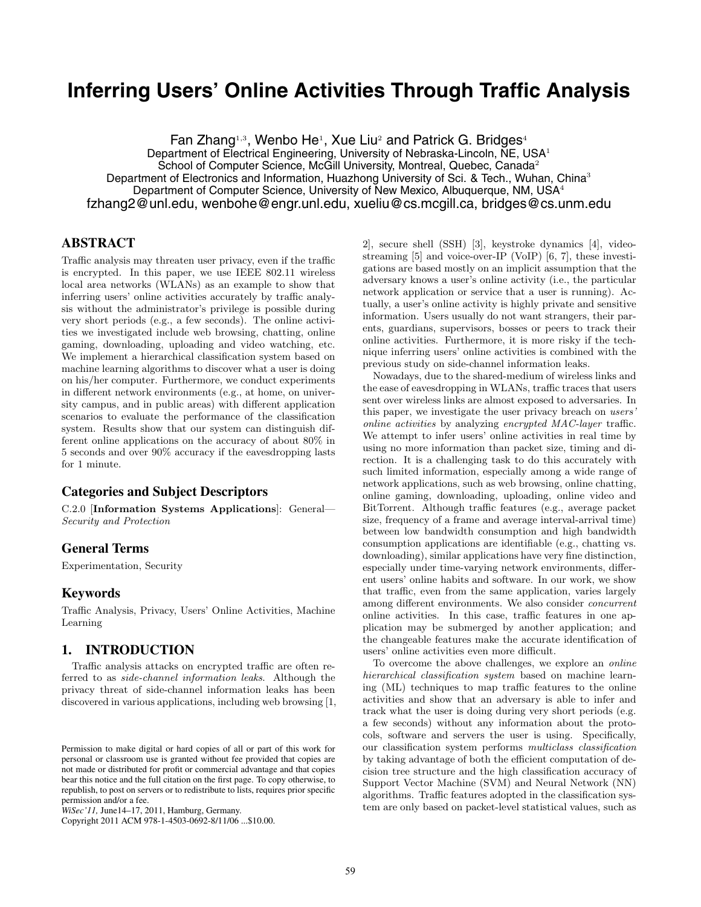# **Inferring Users' Online Activities Through Traffic Analysis**

Fan Zhang<sup>1,3</sup>, Wenbo He<sup>1</sup>, Xue Liu<sup>2</sup> and Patrick G. Bridges<sup>4</sup>

Department of Electrical Engineering, University of Nebraska-Lincoln, NE, USA<sup>1</sup> School of Computer Science, McGill University, Montreal, Quebec, Canada<sup>2</sup> Department of Electronics and Information, Huazhong University of Sci. & Tech., Wuhan, China<sup>3</sup> Department of Computer Science, University of New Mexico, Albuquerque, NM, USA<sup>4</sup> fzhang2@unl.edu, wenbohe@engr.unl.edu, xueliu@cs.mcgill.ca, bridges@cs.unm.edu

# **ABSTRACT**

Traffic analysis may threaten user privacy, even if the traffic is encrypted. In this paper, we use IEEE 802.11 wireless local area networks (WLANs) as an example to show that inferring users' online activities accurately by traffic analysis without the administrator's privilege is possible during very short periods (e.g., a few seconds). The online activities we investigated include web browsing, chatting, online gaming, downloading, uploading and video watching, etc. We implement a hierarchical classification system based on machine learning algorithms to discover what a user is doing on his/her computer. Furthermore, we conduct experiments in different network environments (e.g., at home, on university campus, and in public areas) with different application scenarios to evaluate the performance of the classification system. Results show that our system can distinguish different online applications on the accuracy of about 80% in 5 seconds and over 90% accuracy if the eavesdropping lasts for 1 minute.

# **Categories and Subject Descriptors**

C.2.0 [**Information Systems Applications**]: General— Security and Protection

# **General Terms**

Experimentation, Security

# **Keywords**

Traffic Analysis, Privacy, Users' Online Activities, Machine Learning

# **1. INTRODUCTION**

Traffic analysis attacks on encrypted traffic are often referred to as side-channel information leaks. Although the privacy threat of side-channel information leaks has been discovered in various applications, including web browsing [1,

Copyright 2011 ACM 978-1-4503-0692-8/11/06 ...\$10.00.

2], secure shell (SSH) [3], keystroke dynamics [4], videostreaming [5] and voice-over-IP (VoIP) [6, 7], these investigations are based mostly on an implicit assumption that the adversary knows a user's online activity (i.e., the particular network application or service that a user is running). Actually, a user's online activity is highly private and sensitive information. Users usually do not want strangers, their parents, guardians, supervisors, bosses or peers to track their online activities. Furthermore, it is more risky if the technique inferring users' online activities is combined with the previous study on side-channel information leaks.

Nowadays, due to the shared-medium of wireless links and the ease of eavesdropping in WLANs, traffic traces that users sent over wireless links are almost exposed to adversaries. In this paper, we investigate the user privacy breach on users' online activities by analyzing encrypted MAC-layer traffic. We attempt to infer users' online activities in real time by using no more information than packet size, timing and direction. It is a challenging task to do this accurately with such limited information, especially among a wide range of network applications, such as web browsing, online chatting, online gaming, downloading, uploading, online video and BitTorrent. Although traffic features (e.g., average packet size, frequency of a frame and average interval-arrival time) between low bandwidth consumption and high bandwidth consumption applications are identifiable (e.g., chatting vs. downloading), similar applications have very fine distinction, especially under time-varying network environments, different users' online habits and software. In our work, we show that traffic, even from the same application, varies largely among different environments. We also consider concurrent online activities. In this case, traffic features in one application may be submerged by another application; and the changeable features make the accurate identification of users' online activities even more difficult.

To overcome the above challenges, we explore an online hierarchical classification system based on machine learning (ML) techniques to map traffic features to the online activities and show that an adversary is able to infer and track what the user is doing during very short periods (e.g. a few seconds) without any information about the protocols, software and servers the user is using. Specifically, our classification system performs multiclass classification by taking advantage of both the efficient computation of decision tree structure and the high classification accuracy of Support Vector Machine (SVM) and Neural Network (NN) algorithms. Traffic features adopted in the classification system are only based on packet-level statistical values, such as

Permission to make digital or hard copies of all or part of this work for personal or classroom use is granted without fee provided that copies are not made or distributed for profit or commercial advantage and that copies bear this notice and the full citation on the first page. To copy otherwise, to republish, to post on servers or to redistribute to lists, requires prior specific permission and/or a fee.

*WiSec'11,* June14–17, 2011, Hamburg, Germany.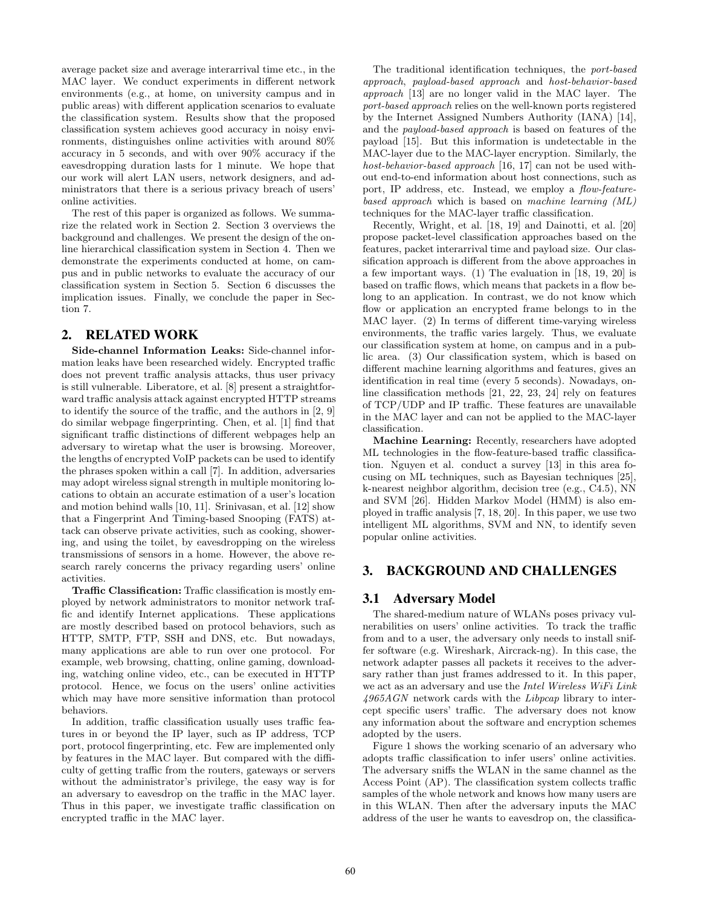average packet size and average interarrival time etc., in the MAC layer. We conduct experiments in different network environments (e.g., at home, on university campus and in public areas) with different application scenarios to evaluate the classification system. Results show that the proposed classification system achieves good accuracy in noisy environments, distinguishes online activities with around 80% accuracy in 5 seconds, and with over 90% accuracy if the eavesdropping duration lasts for 1 minute. We hope that our work will alert LAN users, network designers, and administrators that there is a serious privacy breach of users' online activities.

The rest of this paper is organized as follows. We summarize the related work in Section 2. Section 3 overviews the background and challenges. We present the design of the online hierarchical classification system in Section 4. Then we demonstrate the experiments conducted at home, on campus and in public networks to evaluate the accuracy of our classification system in Section 5. Section 6 discusses the implication issues. Finally, we conclude the paper in Section 7.

## **2. RELATED WORK**

**Side-channel Information Leaks:** Side-channel information leaks have been researched widely. Encrypted traffic does not prevent traffic analysis attacks, thus user privacy is still vulnerable. Liberatore, et al. [8] present a straightforward traffic analysis attack against encrypted HTTP streams to identify the source of the traffic, and the authors in [2, 9] do similar webpage fingerprinting. Chen, et al. [1] find that significant traffic distinctions of different webpages help an adversary to wiretap what the user is browsing. Moreover, the lengths of encrypted VoIP packets can be used to identify the phrases spoken within a call [7]. In addition, adversaries may adopt wireless signal strength in multiple monitoring locations to obtain an accurate estimation of a user's location and motion behind walls [10, 11]. Srinivasan, et al. [12] show that a Fingerprint And Timing-based Snooping (FATS) attack can observe private activities, such as cooking, showering, and using the toilet, by eavesdropping on the wireless transmissions of sensors in a home. However, the above research rarely concerns the privacy regarding users' online activities.

**Traffic Classification:** Traffic classification is mostly employed by network administrators to monitor network traffic and identify Internet applications. These applications are mostly described based on protocol behaviors, such as HTTP, SMTP, FTP, SSH and DNS, etc. But nowadays, many applications are able to run over one protocol. For example, web browsing, chatting, online gaming, downloading, watching online video, etc., can be executed in HTTP protocol. Hence, we focus on the users' online activities which may have more sensitive information than protocol behaviors.

In addition, traffic classification usually uses traffic features in or beyond the IP layer, such as IP address, TCP port, protocol fingerprinting, etc. Few are implemented only by features in the MAC layer. But compared with the difficulty of getting traffic from the routers, gateways or servers without the administrator's privilege, the easy way is for an adversary to eavesdrop on the traffic in the MAC layer. Thus in this paper, we investigate traffic classification on encrypted traffic in the MAC layer.

The traditional identification techniques, the port-based approach, payload-based approach and host-behavior-based approach [13] are no longer valid in the MAC layer. The port-based approach relies on the well-known ports registered by the Internet Assigned Numbers Authority (IANA) [14], and the payload-based approach is based on features of the payload [15]. But this information is undetectable in the MAC-layer due to the MAC-layer encryption. Similarly, the host-behavior-based approach [16, 17] can not be used without end-to-end information about host connections, such as port, IP address, etc. Instead, we employ a flow-featurebased approach which is based on machine learning (ML) techniques for the MAC-layer traffic classification.

Recently, Wright, et al. [18, 19] and Dainotti, et al. [20] propose packet-level classification approaches based on the features, packet interarrival time and payload size. Our classification approach is different from the above approaches in a few important ways. (1) The evaluation in [18, 19, 20] is based on traffic flows, which means that packets in a flow belong to an application. In contrast, we do not know which flow or application an encrypted frame belongs to in the MAC layer. (2) In terms of different time-varying wireless environments, the traffic varies largely. Thus, we evaluate our classification system at home, on campus and in a public area. (3) Our classification system, which is based on different machine learning algorithms and features, gives an identification in real time (every 5 seconds). Nowadays, online classification methods [21, 22, 23, 24] rely on features of TCP/UDP and IP traffic. These features are unavailable in the MAC layer and can not be applied to the MAC-layer classification.

**Machine Learning:** Recently, researchers have adopted ML technologies in the flow-feature-based traffic classification. Nguyen et al. conduct a survey [13] in this area focusing on ML techniques, such as Bayesian techniques [25], k-nearest neighbor algorithm, decision tree (e.g., C4.5), NN and SVM [26]. Hidden Markov Model (HMM) is also employed in traffic analysis [7, 18, 20]. In this paper, we use two intelligent ML algorithms, SVM and NN, to identify seven popular online activities.

# **3. BACKGROUND AND CHALLENGES**

#### **3.1 Adversary Model**

The shared-medium nature of WLANs poses privacy vulnerabilities on users' online activities. To track the traffic from and to a user, the adversary only needs to install sniffer software (e.g. Wireshark, Aircrack-ng). In this case, the network adapter passes all packets it receives to the adversary rather than just frames addressed to it. In this paper, we act as an adversary and use the Intel Wireless WiFi Link 4965AGN network cards with the Libpcap library to intercept specific users' traffic. The adversary does not know any information about the software and encryption schemes adopted by the users.

Figure 1 shows the working scenario of an adversary who adopts traffic classification to infer users' online activities. The adversary sniffs the WLAN in the same channel as the Access Point (AP). The classification system collects traffic samples of the whole network and knows how many users are in this WLAN. Then after the adversary inputs the MAC address of the user he wants to eavesdrop on, the classifica-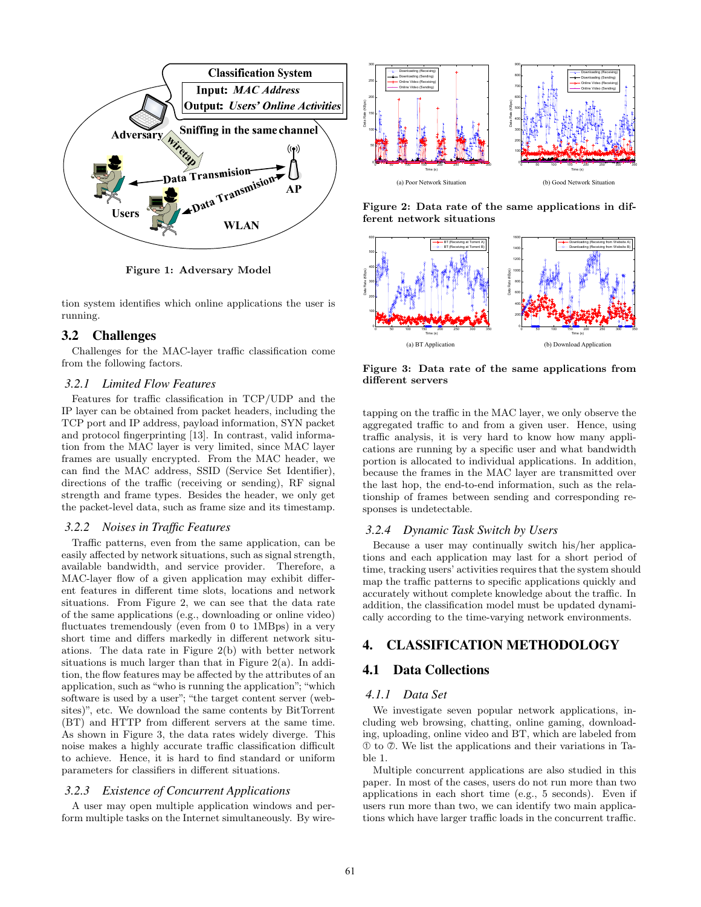

**Figure 1: Adversary Model**

tion system identifies which online applications the user is running.

#### **3.2 Challenges**

Challenges for the MAC-layer traffic classification come from the following factors.

#### *3.2.1 Limited Flow Features*

Features for traffic classification in TCP/UDP and the IP layer can be obtained from packet headers, including the TCP port and IP address, payload information, SYN packet and protocol fingerprinting [13]. In contrast, valid information from the MAC layer is very limited, since MAC layer frames are usually encrypted. From the MAC header, we can find the MAC address, SSID (Service Set Identifier), directions of the traffic (receiving or sending), RF signal strength and frame types. Besides the header, we only get the packet-level data, such as frame size and its timestamp.

#### *3.2.2 Noises in Traffic Features*

Traffic patterns, even from the same application, can be easily affected by network situations, such as signal strength, available bandwidth, and service provider. Therefore, a MAC-layer flow of a given application may exhibit different features in different time slots, locations and network situations. From Figure 2, we can see that the data rate of the same applications (e.g., downloading or online video) fluctuates tremendously (even from 0 to 1MBps) in a very short time and differs markedly in different network situations. The data rate in Figure 2(b) with better network situations is much larger than that in Figure 2(a). In addition, the flow features may be affected by the attributes of an application, such as "who is running the application"; "which software is used by a user"; "the target content server (websites)", etc. We download the same contents by BitTorrent (BT) and HTTP from different servers at the same time. As shown in Figure 3, the data rates widely diverge. This noise makes a highly accurate traffic classification difficult to achieve. Hence, it is hard to find standard or uniform parameters for classifiers in different situations.

#### *3.2.3 Existence of Concurrent Applications*

A user may open multiple application windows and perform multiple tasks on the Internet simultaneously. By wire-



**Figure 2: Data rate of the same applications in different network situations**



**Figure 3: Data rate of the same applications from different servers**

tapping on the traffic in the MAC layer, we only observe the aggregated traffic to and from a given user. Hence, using traffic analysis, it is very hard to know how many applications are running by a specific user and what bandwidth portion is allocated to individual applications. In addition, because the frames in the MAC layer are transmitted over the last hop, the end-to-end information, such as the relationship of frames between sending and corresponding responses is undetectable.

#### *3.2.4 Dynamic Task Switch by Users*

Because a user may continually switch his/her applications and each application may last for a short period of time, tracking users' activities requires that the system should map the traffic patterns to specific applications quickly and accurately without complete knowledge about the traffic. In addition, the classification model must be updated dynamically according to the time-varying network environments.

#### **4. CLASSIFICATION METHODOLOGY**

## **4.1 Data Collections**

#### *4.1.1 Data Set*

We investigate seven popular network applications, including web browsing, chatting, online gaming, downloading, uploading, online video and BT, which are labeled from ➀ to ➆. We list the applications and their variations in Table 1.

Multiple concurrent applications are also studied in this paper. In most of the cases, users do not run more than two applications in each short time (e.g., 5 seconds). Even if users run more than two, we can identify two main applications which have larger traffic loads in the concurrent traffic.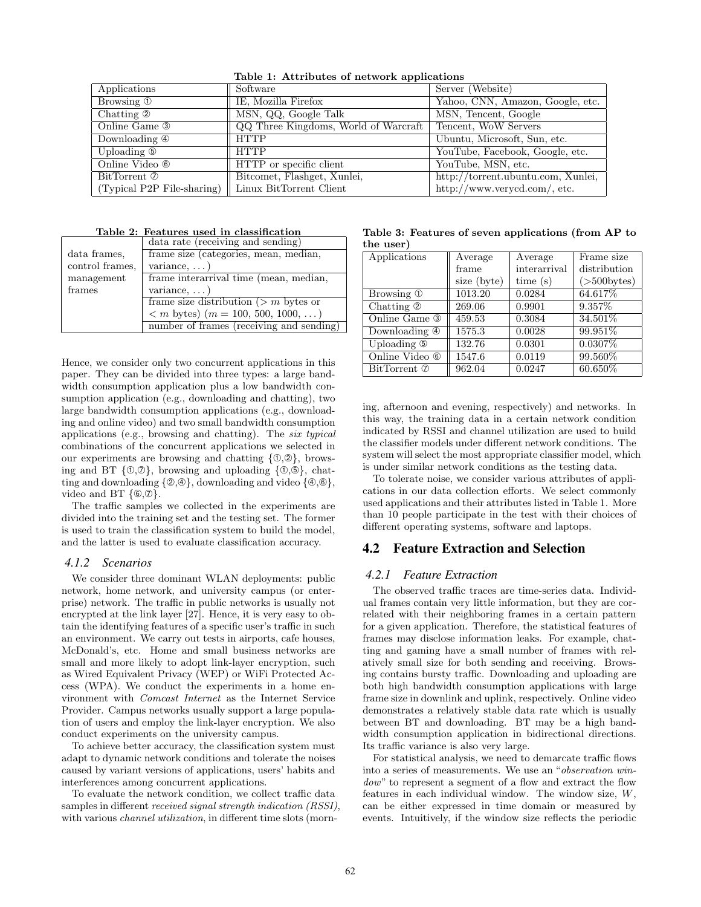| Applications               | Software                                                    | Server (Website)                   |
|----------------------------|-------------------------------------------------------------|------------------------------------|
| Browsing ①                 | IE. Mozilla Firefox                                         | Yahoo, CNN, Amazon, Google, etc.   |
| Chatting 2                 | MSN, QQ, Google Talk                                        | MSN, Tencent, Google               |
| Online Game 3              | QQ Three Kingdoms, World of Warcraft   Tencent, WoW Servers |                                    |
| Downloading $\circledA$    | <b>HTTP</b>                                                 | Ubuntu, Microsoft, Sun, etc.       |
| Uploading $\circledcirc$   | <b>HTTP</b>                                                 | YouTube, Facebook, Google, etc.    |
| Online Video <sup>6</sup>  | HTTP or specific client                                     | YouTube, MSN, etc.                 |
| BitTorrent 2               | Bitcomet, Flashget, Xunlei,                                 | http://torrent.ubuntu.com, Xunlei, |
| (Typical P2P File-sharing) | Linux BitTorrent Client                                     | http://www.verycd.com/, etc.       |

**Table 1: Attributes of network applications**

**Table 2: Features used in classification**

|                 | data rate (receiving and sending)           |
|-----------------|---------------------------------------------|
| data frames,    | frame size (categories, mean, median,       |
| control frames, | $variance, \ldots)$                         |
| management      | frame interarrival time (mean, median,      |
| frames          | variance, $\ldots$ )                        |
|                 | frame size distribution ( $\geq m$ bytes or |
|                 | $(m + 100, 500, 1000, )$                    |
|                 | number of frames (receiving and sending)    |

Hence, we consider only two concurrent applications in this paper. They can be divided into three types: a large bandwidth consumption application plus a low bandwidth consumption application (e.g., downloading and chatting), two large bandwidth consumption applications (e.g., downloading and online video) and two small bandwidth consumption applications (e.g., browsing and chatting). The six typical combinations of the concurrent applications we selected in our experiments are browsing and chatting  $\{\mathbb{O},\mathbb{Q}\},\$  browsing and BT  $\{\mathbb{O},\mathbb{O}\}\$ , browsing and uploading  $\{\mathbb{O},\mathbb{O}\}\$ , chatting and downloading  $\{\mathcal{Q},\mathcal{Q}\},$  downloading and video  $\{\mathcal{Q},\mathcal{Q}\},$ video and BT  $\{\circledcirc,\circledcirc\}$ .

The traffic samples we collected in the experiments are divided into the training set and the testing set. The former is used to train the classification system to build the model, and the latter is used to evaluate classification accuracy.

#### *4.1.2 Scenarios*

We consider three dominant WLAN deployments: public network, home network, and university campus (or enterprise) network. The traffic in public networks is usually not encrypted at the link layer [27]. Hence, it is very easy to obtain the identifying features of a specific user's traffic in such an environment. We carry out tests in airports, cafe houses, McDonald's, etc. Home and small business networks are small and more likely to adopt link-layer encryption, such as Wired Equivalent Privacy (WEP) or WiFi Protected Access (WPA). We conduct the experiments in a home environment with Comcast Internet as the Internet Service Provider. Campus networks usually support a large population of users and employ the link-layer encryption. We also conduct experiments on the university campus.

To achieve better accuracy, the classification system must adapt to dynamic network conditions and tolerate the noises caused by variant versions of applications, users' habits and interferences among concurrent applications.

To evaluate the network condition, we collect traffic data samples in different *received signal strength indication (RSSI)*, with various *channel utilization*, in different time slots (morn-

**Table 3: Features of seven applications (from AP to the user)**

| Applications              | Average     | Average      | Frame size        |
|---------------------------|-------------|--------------|-------------------|
|                           | frame       | interarrival | distribution      |
|                           | size (byte) | time(s)      | $($ >500bytes $)$ |
| Browsing ①                | 1013.20     | 0.0284       | 64.617%           |
| Chatting 2                | 269.06      | 0.9901       | $9.357\%$         |
| Online Game 3             | 459.53      | 0.3084       | 34.501\%          |
| Downloading 4             | 1575.3      | 0.0028       | 99.951\%          |
| Uploading $\circledcirc$  | 132.76      | 0.0301       | $0.0307\%$        |
| Online Video <sup>6</sup> | 1547.6      | 0.0119       | 99.560\%          |
| BitTorrent                | 962.04      | 0.0247       | 60.650\%          |

ing, afternoon and evening, respectively) and networks. In this way, the training data in a certain network condition indicated by RSSI and channel utilization are used to build the classifier models under different network conditions. The system will select the most appropriate classifier model, which is under similar network conditions as the testing data.

To tolerate noise, we consider various attributes of applications in our data collection efforts. We select commonly used applications and their attributes listed in Table 1. More than 10 people participate in the test with their choices of different operating systems, software and laptops.

#### **4.2 Feature Extraction and Selection**

#### *4.2.1 Feature Extraction*

The observed traffic traces are time-series data. Individual frames contain very little information, but they are correlated with their neighboring frames in a certain pattern for a given application. Therefore, the statistical features of frames may disclose information leaks. For example, chatting and gaming have a small number of frames with relatively small size for both sending and receiving. Browsing contains bursty traffic. Downloading and uploading are both high bandwidth consumption applications with large frame size in downlink and uplink, respectively. Online video demonstrates a relatively stable data rate which is usually between BT and downloading. BT may be a high bandwidth consumption application in bidirectional directions. Its traffic variance is also very large.

For statistical analysis, we need to demarcate traffic flows into a series of measurements. We use an "observation window" to represent a segment of a flow and extract the flow features in each individual window. The window size, *W*, can be either expressed in time domain or measured by events. Intuitively, if the window size reflects the periodic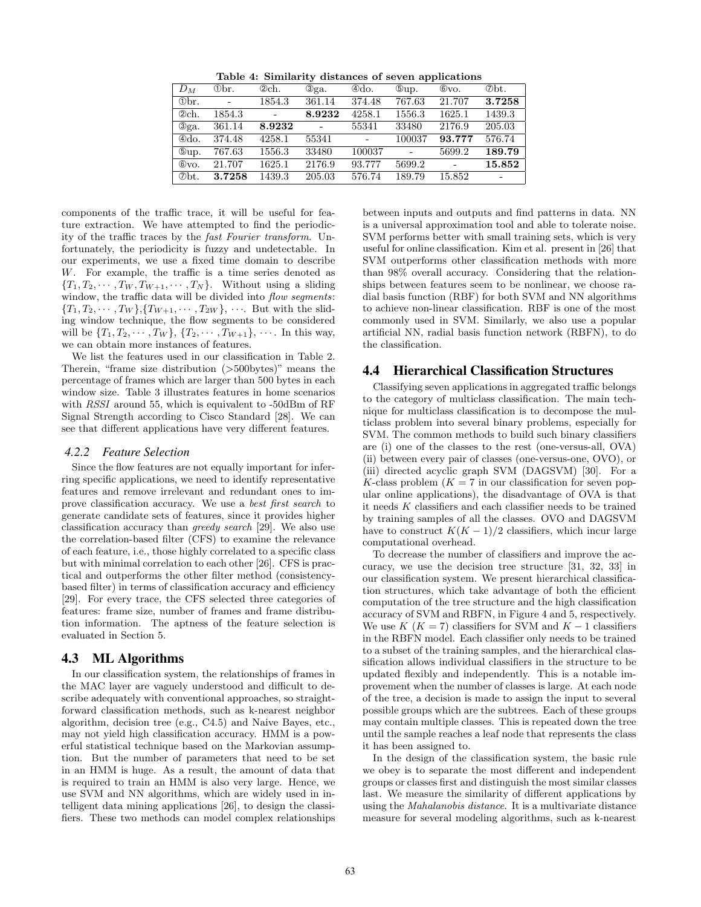**Table 4: Similarity distances of seven applications**

| $D_M$             | Obr.                     | 2ch.   | $\mathcal{Q}$ ga. | Odo.   | $@$ up.                  | $&\infty$                | Øbt.   |
|-------------------|--------------------------|--------|-------------------|--------|--------------------------|--------------------------|--------|
| Obr.              | $\overline{\phantom{0}}$ | 1854.3 | 361.14            | 374.48 | 767.63                   | 21.707                   | 3.7258 |
| 2ch.              | 1854.3                   | ۰      | 8.9232            | 4258.1 | 1556.3                   | 1625.1                   | 1439.3 |
| $\mathcal{D}$ ga. | 361.14                   | 8.9232 |                   | 55341  | 33480                    | 2176.9                   | 205.03 |
| @do.              | 374.48                   | 4258.1 | 55341             | ٠      | 100037                   | 93.777                   | 576.74 |
| $@$ up.           | 767.63                   | 1556.3 | 33480             | 100037 | $\overline{\phantom{a}}$ | 5699.2                   | 189.79 |
| $&\infty$         | 21.707                   | 1625.1 | 2176.9            | 93.777 | 5699.2                   | $\overline{\phantom{0}}$ | 15.852 |
| ⑦ht.              | 3.7258                   | 1439.3 | 205.03            | 576.74 | 189.79                   | 15.852                   | -      |

components of the traffic trace, it will be useful for feature extraction. We have attempted to find the periodicity of the traffic traces by the fast Fourier transform. Unfortunately, the periodicity is fuzzy and undetectable. In our experiments, we use a fixed time domain to describe *W*. For example, the traffic is a time series denoted as  ${T_1, T_2, \cdots, T_W, T_{W+1}, \cdots, T_N}$ . Without using a sliding window, the traffic data will be divided into flow segments:  ${T_1, T_2, \cdots, T_W}, {T_{W+1}, \cdots, T_{2W}}, \cdots$  But with the sliding window technique, the flow segments to be considered will be  ${T_1, T_2, \cdots, T_W}$ ,  ${T_2, \cdots, T_{W+1}}$ ,  $\cdots$ . In this way, we can obtain more instances of features.

We list the features used in our classification in Table 2. Therein, "frame size distribution (*>*500bytes)" means the percentage of frames which are larger than 500 bytes in each window size. Table 3 illustrates features in home scenarios with RSSI around 55, which is equivalent to -50dBm of RF Signal Strength according to Cisco Standard [28]. We can see that different applications have very different features.

#### *4.2.2 Feature Selection*

Since the flow features are not equally important for inferring specific applications, we need to identify representative features and remove irrelevant and redundant ones to improve classification accuracy. We use a best first search to generate candidate sets of features, since it provides higher classification accuracy than greedy search [29]. We also use the correlation-based filter (CFS) to examine the relevance of each feature, i.e., those highly correlated to a specific class but with minimal correlation to each other [26]. CFS is practical and outperforms the other filter method (consistencybased filter) in terms of classification accuracy and efficiency [29]. For every trace, the CFS selected three categories of features: frame size, number of frames and frame distribution information. The aptness of the feature selection is evaluated in Section 5.

#### **4.3 ML Algorithms**

In our classification system, the relationships of frames in the MAC layer are vaguely understood and difficult to describe adequately with conventional approaches, so straightforward classification methods, such as k-nearest neighbor algorithm, decision tree (e.g., C4.5) and Naive Bayes, etc., may not yield high classification accuracy. HMM is a powerful statistical technique based on the Markovian assumption. But the number of parameters that need to be set in an HMM is huge. As a result, the amount of data that is required to train an HMM is also very large. Hence, we use SVM and NN algorithms, which are widely used in intelligent data mining applications [26], to design the classifiers. These two methods can model complex relationships between inputs and outputs and find patterns in data. NN is a universal approximation tool and able to tolerate noise. SVM performs better with small training sets, which is very useful for online classification. Kim et al. present in [26] that SVM outperforms other classification methods with more than 98% overall accuracy. Considering that the relationships between features seem to be nonlinear, we choose radial basis function (RBF) for both SVM and NN algorithms to achieve non-linear classification. RBF is one of the most commonly used in SVM. Similarly, we also use a popular artificial NN, radial basis function network (RBFN), to do the classification.

#### **4.4 Hierarchical Classification Structures**

Classifying seven applications in aggregated traffic belongs to the category of multiclass classification. The main technique for multiclass classification is to decompose the multiclass problem into several binary problems, especially for SVM. The common methods to build such binary classifiers are (i) one of the classes to the rest (one-versus-all, OVA) (ii) between every pair of classes (one-versus-one, OVO), or (iii) directed acyclic graph SVM (DAGSVM) [30]. For a *K*-class problem  $(K = 7$  in our classification for seven popular online applications), the disadvantage of OVA is that it needs *K* classifiers and each classifier needs to be trained by training samples of all the classes. OVO and DAGSVM have to construct  $K(K-1)/2$  classifiers, which incur large computational overhead.

To decrease the number of classifiers and improve the accuracy, we use the decision tree structure [31, 32, 33] in our classification system. We present hierarchical classification structures, which take advantage of both the efficient computation of the tree structure and the high classification accuracy of SVM and RBFN, in Figure 4 and 5, respectively. We use  $K$  ( $K = 7$ ) classifiers for SVM and  $K - 1$  classifiers in the RBFN model. Each classifier only needs to be trained to a subset of the training samples, and the hierarchical classification allows individual classifiers in the structure to be updated flexibly and independently. This is a notable improvement when the number of classes is large. At each node of the tree, a decision is made to assign the input to several possible groups which are the subtrees. Each of these groups may contain multiple classes. This is repeated down the tree until the sample reaches a leaf node that represents the class it has been assigned to.

In the design of the classification system, the basic rule we obey is to separate the most different and independent groups or classes first and distinguish the most similar classes last. We measure the similarity of different applications by using the Mahalanobis distance. It is a multivariate distance measure for several modeling algorithms, such as k-nearest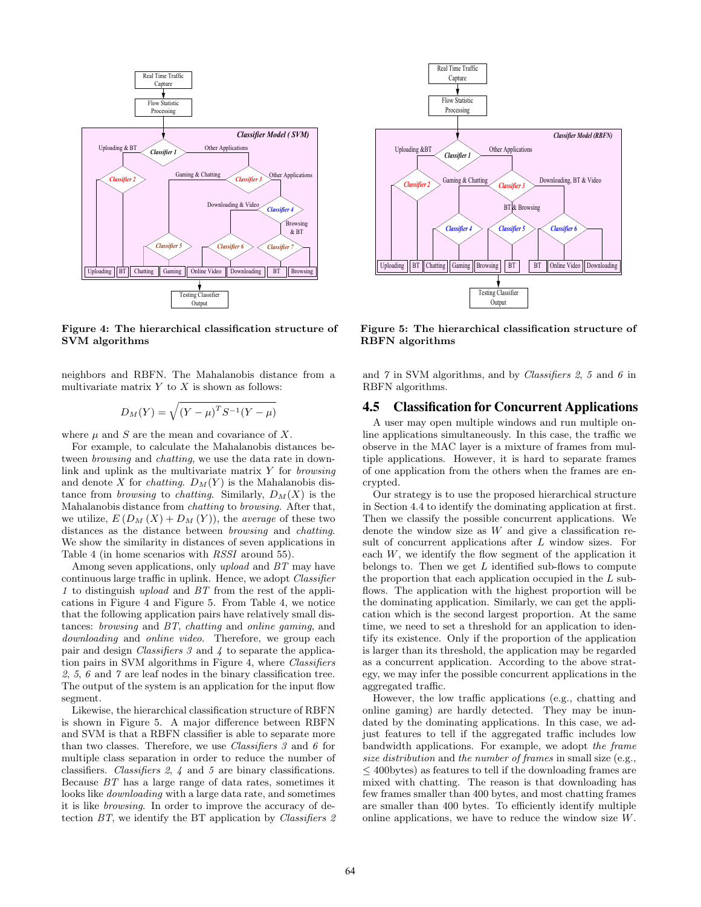

**Figure 4: The hierarchical classification structure of SVM algorithms**

neighbors and RBFN. The Mahalanobis distance from a multivariate matrix  $Y$  to  $X$  is shown as follows:

$$
D_M(Y) = \sqrt{(Y - \mu)^T S^{-1} (Y - \mu)}
$$

where  $\mu$  and  $S$  are the mean and covariance of  $X$ .

For example, to calculate the Mahalanobis distances between browsing and chatting, we use the data rate in downlink and uplink as the multivariate matrix *Y* for browsing and denote *X* for *chatting.*  $D_M(Y)$  is the Mahalanobis distance from *browsing* to *chatting*. Similarly,  $D_M(X)$  is the Mahalanobis distance from chatting to browsing. After that, we utilize,  $E(D_M(X) + D_M(Y))$ , the *average* of these two distances as the distance between *browsing* and *chatting*. We show the similarity in distances of seven applications in Table 4 (in home scenarios with RSSI around 55).

Among seven applications, only upload and BT may have continuous large traffic in uplink. Hence, we adopt Classifier 1 to distinguish upload and BT from the rest of the applications in Figure 4 and Figure 5. From Table 4, we notice that the following application pairs have relatively small distances: browsing and BT, chatting and online gaming, and downloading and online video. Therefore, we group each pair and design Classifiers 3 and 4 to separate the application pairs in SVM algorithms in Figure 4, where Classifiers 2, 5, 6 and 7 are leaf nodes in the binary classification tree. The output of the system is an application for the input flow segment.

Likewise, the hierarchical classification structure of RBFN is shown in Figure 5. A major difference between RBFN and SVM is that a RBFN classifier is able to separate more than two classes. Therefore, we use Classifiers 3 and 6 for multiple class separation in order to reduce the number of classifiers. Classifiers 2, 4 and 5 are binary classifications. Because BT has a large range of data rates, sometimes it looks like downloading with a large data rate, and sometimes it is like browsing. In order to improve the accuracy of detection  $BT$ , we identify the BT application by *Classifiers 2* 



**Figure 5: The hierarchical classification structure of RBFN algorithms**

and  $\gamma$  in SVM algorithms, and by *Classifiers 2, 5* and 6 in RBFN algorithms.

#### **4.5 Classification for Concurrent Applications**

A user may open multiple windows and run multiple online applications simultaneously. In this case, the traffic we observe in the MAC layer is a mixture of frames from multiple applications. However, it is hard to separate frames of one application from the others when the frames are encrypted.

Our strategy is to use the proposed hierarchical structure in Section 4.4 to identify the dominating application at first. Then we classify the possible concurrent applications. We denote the window size as *W* and give a classification result of concurrent applications after *L* window sizes. For each *W*, we identify the flow segment of the application it belongs to. Then we get *L* identified sub-flows to compute the proportion that each application occupied in the *L* subflows. The application with the highest proportion will be the dominating application. Similarly, we can get the application which is the second largest proportion. At the same time, we need to set a threshold for an application to identify its existence. Only if the proportion of the application is larger than its threshold, the application may be regarded as a concurrent application. According to the above strategy, we may infer the possible concurrent applications in the aggregated traffic.

However, the low traffic applications (e.g., chatting and online gaming) are hardly detected. They may be inundated by the dominating applications. In this case, we adjust features to tell if the aggregated traffic includes low bandwidth applications. For example, we adopt the frame size distribution and the number of frames in small size (e.g.,  $\leq$  400 bytes) as features to tell if the downloading frames are mixed with chatting. The reason is that downloading has few frames smaller than 400 bytes, and most chatting frames are smaller than 400 bytes. To efficiently identify multiple online applications, we have to reduce the window size *W*.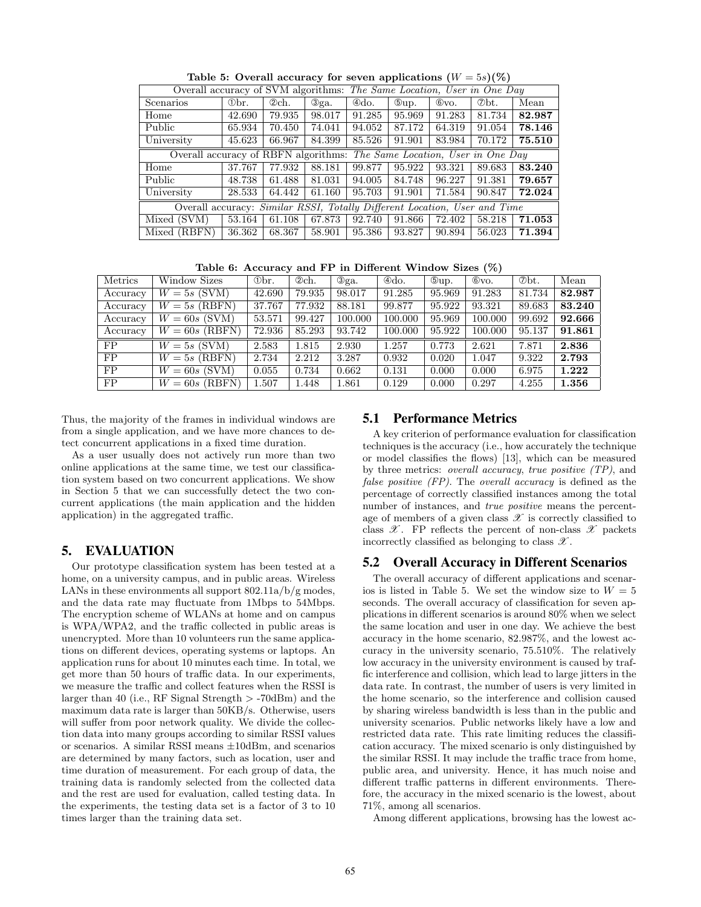| Overall accuracy of SVM algorithms: The Same Location, User in One Day    |        |               |                   |            |         |             |        |        |
|---------------------------------------------------------------------------|--------|---------------|-------------------|------------|---------|-------------|--------|--------|
| Scenarios                                                                 | Obr.   | $\otimes$ ch. | $\mathcal{Q}$ ga. | $\Phi$ do. | $@$ up. | $&\infty$ . | Øbt.   | Mean   |
| Home                                                                      | 42.690 | 79.935        | 98.017            | 91.285     | 95.969  | 91.283      | 81.734 | 82.987 |
| Public                                                                    | 65.934 | 70.450        | 74.041            | 94.052     | 87.172  | 64.319      | 91.054 | 78.146 |
| University                                                                | 45.623 | 66.967        | 84.399            | 85.526     | 91.901  | 83.984      | 70.172 | 75.510 |
| Overall accuracy of RBFN algorithms: The Same Location, User in One Day   |        |               |                   |            |         |             |        |        |
| Home                                                                      | 37.767 | 77.932        | 88.181            | 99.877     | 95.922  | 93.321      | 89.683 | 83.240 |
| Public                                                                    | 48.738 | 61.488        | 81.031            | 94.005     | 84.748  | 96.227      | 91.381 | 79.657 |
| University                                                                | 28.533 | 64.442        | 61.160            | 95.703     | 91.901  | 71.584      | 90.847 | 72.024 |
| Overall accuracy: Similar RSSI, Totally Different Location, User and Time |        |               |                   |            |         |             |        |        |
| Mixed (SVM)                                                               | 53.164 | 61.108        | 67.873            | 92.740     | 91.866  | 72.402      | 58.218 | 71.053 |
| (RBFN)<br>Mixed                                                           | 36.362 | 68.367        | 58.901            | 95.386     | 93.827  | 90.894      | 56.023 | 71.394 |

**Table 5: Overall accuracy for seven applications**  $(W = 5s)(\%)$ 

**Table 6: Accuracy and FP in Different Window Sizes (%)**

|          |                      |        |               |                   |            |         | $\cdots$    |        |        |
|----------|----------------------|--------|---------------|-------------------|------------|---------|-------------|--------|--------|
| Metrics  | Window Sizes         | Obr.   | $\otimes$ ch. | $\mathcal{Q}$ ga. | $\Phi$ do. | $@$ up. | $&\infty$ . | Øbt.   | Mean   |
| Accuracy | $W = 5s$ (SVM)       | 42.690 | 79.935        | 98.017            | 91.285     | 95.969  | 91.283      | 81.734 | 82.987 |
| Accuracy | $W = 5s$ (RBFN)      | 37.767 | 77.932        | 88.181            | 99.877     | 95.922  | 93.321      | 89.683 | 83.240 |
| Accuracy | $= 60s$ (SVM)<br>W   | 53.571 | 99.427        | 100.000           | 100.000    | 95.969  | 100.000     | 99.692 | 92.666 |
| Accuracy | $= 60s$ (RBFN)<br>W  | 72.936 | 85.293        | 93.742            | 100.000    | 95.922  | 100.000     | 95.137 | 91.861 |
| FP       | $W = 5s$ (SVM)       | 2.583  | 1.815         | 2.930             | 1.257      | 0.773   | 2.621       | 7.871  | 2.836  |
| FP       | $W = 5s$ (RBFN)      | 2.734  | 2.212         | 3.287             | 0.932      | 0.020   | 1.047       | 9.322  | 2.793  |
| FP       | $t = 60s$ (SVM)<br>W | 0.055  | 0.734         | 0.662             | 0.131      | 0.000   | 0.000       | 6.975  | 1.222  |
| FP       | (RBFN)<br>$W=60s$    | 1.507  | 1.448         | 1.861             | 0.129      | 0.000   | 0.297       | 4.255  | 1.356  |

Thus, the majority of the frames in individual windows are from a single application, and we have more chances to detect concurrent applications in a fixed time duration.

As a user usually does not actively run more than two online applications at the same time, we test our classification system based on two concurrent applications. We show in Section 5 that we can successfully detect the two concurrent applications (the main application and the hidden application) in the aggregated traffic.

# **5. EVALUATION**

Our prototype classification system has been tested at a home, on a university campus, and in public areas. Wireless LANs in these environments all support  $802.11a/b/g$  modes, and the data rate may fluctuate from 1Mbps to 54Mbps. The encryption scheme of WLANs at home and on campus is WPA/WPA2, and the traffic collected in public areas is unencrypted. More than 10 volunteers run the same applications on different devices, operating systems or laptops. An application runs for about 10 minutes each time. In total, we get more than 50 hours of traffic data. In our experiments, we measure the traffic and collect features when the RSSI is larger than 40 (i.e., RF Signal Strength *>* -70dBm) and the maximum data rate is larger than 50KB/s. Otherwise, users will suffer from poor network quality. We divide the collection data into many groups according to similar RSSI values or scenarios. A similar RSSI means ±10dBm, and scenarios are determined by many factors, such as location, user and time duration of measurement. For each group of data, the training data is randomly selected from the collected data and the rest are used for evaluation, called testing data. In the experiments, the testing data set is a factor of 3 to 10 times larger than the training data set.

# **5.1 Performance Metrics**

A key criterion of performance evaluation for classification techniques is the accuracy (i.e., how accurately the technique or model classifies the flows) [13], which can be measured by three metrics: overall accuracy, true positive (TP), and false positive *(FP)*. The overall accuracy is defined as the percentage of correctly classified instances among the total number of instances, and true positive means the percentage of members of a given class  $\mathscr X$  is correctly classified to class  $\mathscr{X}$ . FP reflects the percent of non-class  $\mathscr{X}$  packets incorrectly classified as belonging to class *X* .

# **5.2 Overall Accuracy in Different Scenarios**

The overall accuracy of different applications and scenarios is listed in Table 5. We set the window size to  $W = 5$ seconds. The overall accuracy of classification for seven applications in different scenarios is around 80% when we select the same location and user in one day. We achieve the best accuracy in the home scenario, 82.987%, and the lowest accuracy in the university scenario, 75.510%. The relatively low accuracy in the university environment is caused by traffic interference and collision, which lead to large jitters in the data rate. In contrast, the number of users is very limited in the home scenario, so the interference and collision caused by sharing wireless bandwidth is less than in the public and university scenarios. Public networks likely have a low and restricted data rate. This rate limiting reduces the classification accuracy. The mixed scenario is only distinguished by the similar RSSI. It may include the traffic trace from home, public area, and university. Hence, it has much noise and different traffic patterns in different environments. Therefore, the accuracy in the mixed scenario is the lowest, about 71%, among all scenarios.

Among different applications, browsing has the lowest ac-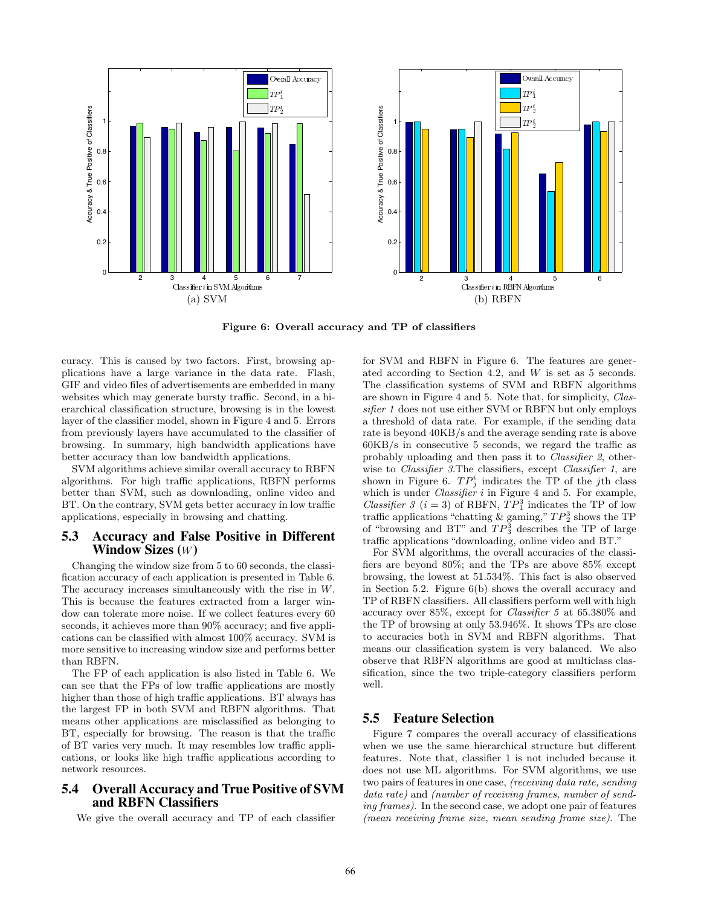

**Figure 6: Overall accuracy and TP of classifiers**

curacy. This is caused by two factors. First, browsing applications have a large variance in the data rate. Flash, GIF and video files of advertisements are embedded in many websites which may generate bursty traffic. Second, in a hierarchical classification structure, browsing is in the lowest layer of the classifier model, shown in Figure 4 and 5. Errors from previously layers have accumulated to the classifier of browsing. In summary, high bandwidth applications have better accuracy than low bandwidth applications.

SVM algorithms achieve similar overall accuracy to RBFN algorithms. For high traffic applications, RBFN performs better than SVM, such as downloading, online video and BT. On the contrary, SVM gets better accuracy in low traffic applications, especially in browsing and chatting.

## **5.3 Accuracy and False Positive in Different Window Sizes (***W***)**

Changing the window size from 5 to 60 seconds, the classification accuracy of each application is presented in Table 6. The accuracy increases simultaneously with the rise in *W*. This is because the features extracted from a larger window can tolerate more noise. If we collect features every 60 seconds, it achieves more than 90% accuracy; and five applications can be classified with almost 100% accuracy. SVM is more sensitive to increasing window size and performs better than RBFN.

The FP of each application is also listed in Table 6. We can see that the FPs of low traffic applications are mostly higher than those of high traffic applications. BT always has the largest FP in both SVM and RBFN algorithms. That means other applications are misclassified as belonging to BT, especially for browsing. The reason is that the traffic of BT varies very much. It may resembles low traffic applications, or looks like high traffic applications according to network resources.

# **5.4 Overall Accuracy and True Positive of SVM and RBFN Classifiers**

We give the overall accuracy and TP of each classifier

for SVM and RBFN in Figure 6. The features are generated according to Section 4.2, and *W* is set as 5 seconds. The classification systems of SVM and RBFN algorithms are shown in Figure 4 and 5. Note that, for simplicity, Classifier 1 does not use either SVM or RBFN but only employs a threshold of data rate. For example, if the sending data rate is beyond 40KB/s and the average sending rate is above 60KB/s in consecutive 5 seconds, we regard the traffic as probably uploading and then pass it to Classifier 2, otherwise to *Classifier 3*. The classifiers, except *Classifier 1*, are shown in Figure 6.  $TP_j^i$  indicates the TP of the *j*th class which is under *Classifier i* in Figure 4 and 5. For example, Classifier 3 ( $i = 3$ ) of RBFN,  $TP_1^3$  indicates the TP of low traffic applications "chatting & gaming,"  $TP_2^3$  shows the TP of "browsing and  $BT$ " and  $TP_3^3$  describes the TP of large traffic applications "downloading, online video and BT."

For SVM algorithms, the overall accuracies of the classifiers are beyond 80%; and the TPs are above 85% except browsing, the lowest at 51.534%. This fact is also observed in Section 5.2. Figure 6(b) shows the overall accuracy and TP of RBFN classifiers. All classifiers perform well with high accuracy over 85%, except for Classifier 5 at 65.380% and the TP of browsing at only 53.946%. It shows TPs are close to accuracies both in SVM and RBFN algorithms. That means our classification system is very balanced. We also observe that RBFN algorithms are good at multiclass classification, since the two triple-category classifiers perform well.

#### **5.5 Feature Selection**

Figure 7 compares the overall accuracy of classifications when we use the same hierarchical structure but different features. Note that, classifier 1 is not included because it does not use ML algorithms. For SVM algorithms, we use two pairs of features in one case, (receiving data rate, sending data rate) and (number of receiving frames, number of sending frames). In the second case, we adopt one pair of features (mean receiving frame size, mean sending frame size). The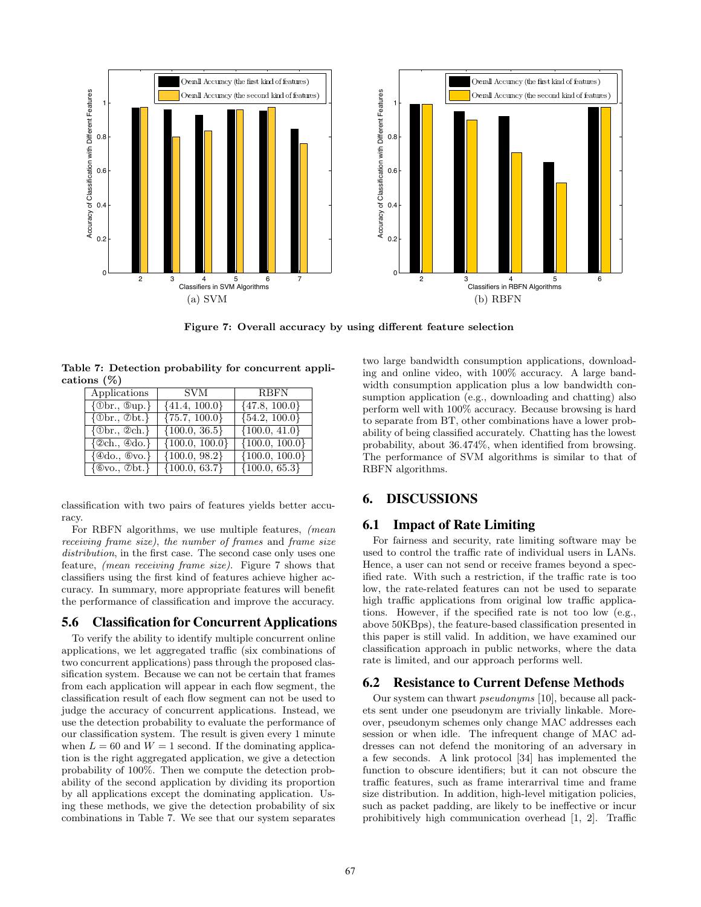

**Figure 7: Overall accuracy by using different feature selection**

**Table 7: Detection probability for concurrent applications (%)**

| Applications                                                                                  | SVM                | <b>RBFN</b>        |
|-----------------------------------------------------------------------------------------------|--------------------|--------------------|
| $\{\mathbb{O}\mathrm{br.}, \mathbb{O}\mathrm{up.}\}\$                                         | $\{41.4, 100.0\}$  | $\{47.8, 100.0\}$  |
| $\{\mathcal{D}\mathrm{br.}, \mathcal{D}\mathrm{bt.}\}\$                                       | $\{75.7, 100.0\}$  | $\{54.2, 100.0\}$  |
| $\{\mathbb{O}\mathrm{br.}, \mathbb{Q}\mathrm{ch.}\}\$                                         | $\{100.0, 36.5\}$  | $\{100.0, 41.0\}$  |
| $\{\mathcal{Qch.}, \mathcal{Qdo.}\}$                                                          | $\{100.0, 100.0\}$ | $\{100.0, 100.0\}$ |
| $\{\overline{\textcircled{\text{4}}}\text{do.}, \overline{\textcircled{\text{}}}\text{vo.}\}$ | $\{100.0, 98.2\}$  | $\{100.0, 100.0\}$ |
| $\{\textcircled{\scriptsize 0}$ vo., $\textcircled{\scriptsize 0}$ bt.}                       | $\{100.0, 63.7\}$  | $\{100.0, 65.3\}$  |

classification with two pairs of features yields better accuracy.

For RBFN algorithms, we use multiple features, (mean receiving frame size), the number of frames and frame size distribution, in the first case. The second case only uses one feature, (mean receiving frame size). Figure 7 shows that classifiers using the first kind of features achieve higher accuracy. In summary, more appropriate features will benefit the performance of classification and improve the accuracy.

# **5.6 Classification for Concurrent Applications**

To verify the ability to identify multiple concurrent online applications, we let aggregated traffic (six combinations of two concurrent applications) pass through the proposed classification system. Because we can not be certain that frames from each application will appear in each flow segment, the classification result of each flow segment can not be used to judge the accuracy of concurrent applications. Instead, we use the detection probability to evaluate the performance of our classification system. The result is given every 1 minute when  $L = 60$  and  $W = 1$  second. If the dominating application is the right aggregated application, we give a detection probability of 100%. Then we compute the detection probability of the second application by dividing its proportion by all applications except the dominating application. Using these methods, we give the detection probability of six combinations in Table 7. We see that our system separates

two large bandwidth consumption applications, downloading and online video, with 100% accuracy. A large bandwidth consumption application plus a low bandwidth consumption application (e.g., downloading and chatting) also perform well with 100% accuracy. Because browsing is hard to separate from BT, other combinations have a lower probability of being classified accurately. Chatting has the lowest probability, about 36.474%, when identified from browsing. The performance of SVM algorithms is similar to that of RBFN algorithms.

# **6. DISCUSSIONS**

## **6.1 Impact of Rate Limiting**

For fairness and security, rate limiting software may be used to control the traffic rate of individual users in LANs. Hence, a user can not send or receive frames beyond a specified rate. With such a restriction, if the traffic rate is too low, the rate-related features can not be used to separate high traffic applications from original low traffic applications. However, if the specified rate is not too low (e.g., above 50KBps), the feature-based classification presented in this paper is still valid. In addition, we have examined our classification approach in public networks, where the data rate is limited, and our approach performs well.

#### **6.2 Resistance to Current Defense Methods**

Our system can thwart pseudonyms [10], because all packets sent under one pseudonym are trivially linkable. Moreover, pseudonym schemes only change MAC addresses each session or when idle. The infrequent change of MAC addresses can not defend the monitoring of an adversary in a few seconds. A link protocol [34] has implemented the function to obscure identifiers; but it can not obscure the traffic features, such as frame interarrival time and frame size distribution. In addition, high-level mitigation policies, such as packet padding, are likely to be ineffective or incur prohibitively high communication overhead [1, 2]. Traffic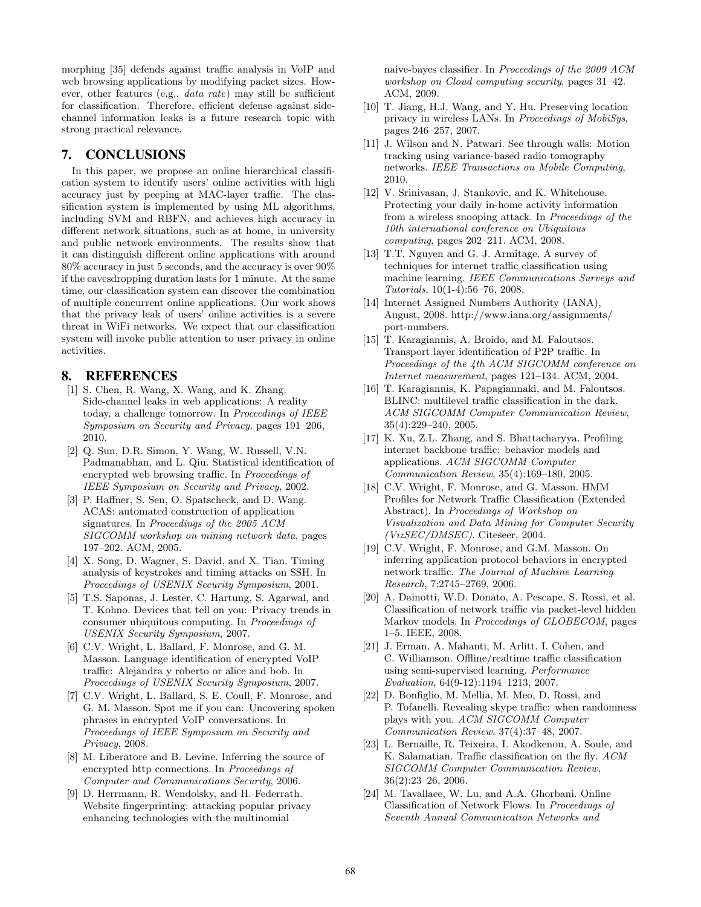morphing [35] defends against traffic analysis in VoIP and web browsing applications by modifying packet sizes. However, other features (e.g., *data rate*) may still be sufficient for classification. Therefore, efficient defense against sidechannel information leaks is a future research topic with strong practical relevance.

#### **7. CONCLUSIONS**

In this paper, we propose an online hierarchical classification system to identify users' online activities with high accuracy just by peeping at MAC-layer traffic. The classification system is implemented by using ML algorithms, including SVM and RBFN, and achieves high accuracy in different network situations, such as at home, in university and public network environments. The results show that it can distinguish different online applications with around 80% accuracy in just 5 seconds, and the accuracy is over 90% if the eavesdropping duration lasts for 1 minute. At the same time, our classification system can discover the combination of multiple concurrent online applications. Our work shows that the privacy leak of users' online activities is a severe threat in WiFi networks. We expect that our classification system will invoke public attention to user privacy in online activities.

#### **8. REFERENCES**

- [1] S. Chen, R. Wang, X. Wang, and K. Zhang. Side-channel leaks in web applications: A reality today, a challenge tomorrow. In Proceedings of IEEE Symposium on Security and Privacy, pages 191–206, 2010.
- [2] Q. Sun, D.R. Simon, Y. Wang, W. Russell, V.N. Padmanabhan, and L. Qiu. Statistical identification of encrypted web browsing traffic. In Proceedings of IEEE Symposium on Security and Privacy, 2002.
- [3] P. Haffner, S. Sen, O. Spatscheck, and D. Wang. ACAS: automated construction of application signatures. In Proceedings of the 2005 ACM SIGCOMM workshop on mining network data, pages 197–202. ACM, 2005.
- [4] X. Song, D. Wagner, S. David, and X. Tian. Timing analysis of keystrokes and timing attacks on SSH. In Proceedings of USENIX Security Symposium, 2001.
- [5] T.S. Saponas, J. Lester, C. Hartung, S. Agarwal, and T. Kohno. Devices that tell on you: Privacy trends in consumer ubiquitous computing. In Proceedings of USENIX Security Symposium, 2007.
- [6] C.V. Wright, L. Ballard, F. Monrose, and G. M. Masson. Language identification of encrypted VoIP traffic: Alejandra y roberto or alice and bob. In Proceedings of USENIX Security Symposium, 2007.
- [7] C.V. Wright, L. Ballard, S. E. Coull, F. Monrose, and G. M. Masson. Spot me if you can: Uncovering spoken phrases in encrypted VoIP conversations. In Proceedings of IEEE Symposium on Security and Privacy, 2008.
- [8] M. Liberatore and B. Levine. Inferring the source of encrypted http connections. In Proceedings of Computer and Communications Security, 2006.
- [9] D. Herrmann, R. Wendolsky, and H. Federrath. Website fingerprinting: attacking popular privacy enhancing technologies with the multinomial

naive-bayes classifier. In Proceedings of the 2009 ACM workshop on Cloud computing security, pages 31–42. ACM, 2009.

- [10] T. Jiang, H.J. Wang, and Y. Hu. Preserving location privacy in wireless LANs. In Proceedings of MobiSys, pages 246–257, 2007.
- [11] J. Wilson and N. Patwari. See through walls: Motion tracking using variance-based radio tomography networks. IEEE Transactions on Mobile Computing, 2010.
- [12] V. Srinivasan, J. Stankovic, and K. Whitehouse. Protecting your daily in-home activity information from a wireless snooping attack. In Proceedings of the 10th international conference on Ubiquitous computing, pages 202–211. ACM, 2008.
- [13] T.T. Nguyen and G. J. Armitage. A survey of techniques for internet traffic classification using machine learning. IEEE Communications Surveys and Tutorials, 10(1-4):56–76, 2008.
- [14] Internet Assigned Numbers Authority (IANA), August, 2008. http://www.iana.org/assignments/ port-numbers.
- [15] T. Karagiannis, A. Broido, and M. Faloutsos. Transport layer identification of P2P traffic. In Proceedings of the 4th ACM SIGCOMM conference on Internet measurement, pages 121–134. ACM, 2004.
- [16] T. Karagiannis, K. Papagiannaki, and M. Faloutsos. BLINC: multilevel traffic classification in the dark. ACM SIGCOMM Computer Communication Review, 35(4):229–240, 2005.
- [17] K. Xu, Z.L. Zhang, and S. Bhattacharyya. Profiling internet backbone traffic: behavior models and applications. ACM SIGCOMM Computer Communication Review, 35(4):169–180, 2005.
- [18] C.V. Wright, F. Monrose, and G. Masson. HMM Profiles for Network Traffic Classification (Extended Abstract). In Proceedings of Workshop on Visualization and Data Mining for Computer Security (VizSEC/DMSEC). Citeseer, 2004.
- [19] C.V. Wright, F. Monrose, and G.M. Masson. On inferring application protocol behaviors in encrypted network traffic. The Journal of Machine Learning Research, 7:2745–2769, 2006.
- [20] A. Dainotti, W.D. Donato, A. Pescape, S. Rossi, et al. Classification of network traffic via packet-level hidden Markov models. In Proceedings of GLOBECOM, pages 1–5. IEEE, 2008.
- [21] J. Erman, A. Mahanti, M. Arlitt, I. Cohen, and C. Williamson. Offline/realtime traffic classification using semi-supervised learning. Performance Evaluation, 64(9-12):1194–1213, 2007.
- [22] D. Bonfiglio, M. Mellia, M. Meo, D. Rossi, and P. Tofanelli. Revealing skype traffic: when randomness plays with you. ACM SIGCOMM Computer Communication Review, 37(4):37–48, 2007.
- [23] L. Bernaille, R. Teixeira, I. Akodkenou, A. Soule, and K. Salamatian. Traffic classification on the fly. ACM SIGCOMM Computer Communication Review, 36(2):23–26, 2006.
- [24] M. Tavallaee, W. Lu, and A.A. Ghorbani. Online Classification of Network Flows. In Proceedings of Seventh Annual Communication Networks and